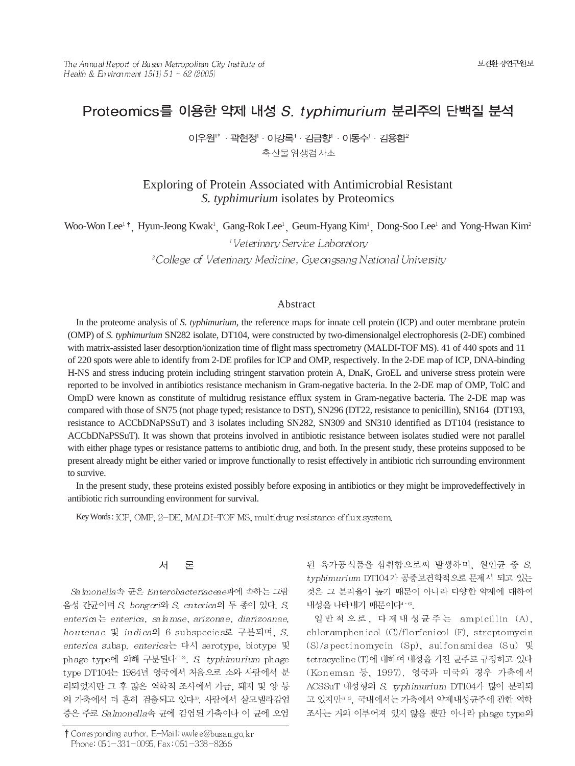# Proteomics를 이용한 약제 내성 S. typhimurium 분리주의 단백질 분석

이우원"·곽현정'·이강록'·김금향 ·이동수'·김용환' 축산물위생검사소

# Exploring of Protein Associated with Antimicrobial Resistant *S. typhimurium* isolates by Proteomics

Woo-Won Lee<sup>1†</sup>, Hyun-Jeong Kwak<sup>1</sup>, Gang-Rok Lee<sup>1</sup>, Geum-Hyang Kim<sup>1</sup>, Dong-Soo Lee<sup>1</sup> and Yong-Hwan Kim<sup>2</sup>

<sup>1</sup>Veterinary Service Laboratory

<sup>2</sup>College of Veterinary Medicine, Gyeongsang National University

## Abstract

In the proteome analysis of *S. typhimurium*, the reference maps for innate cell protein (ICP) and outer membrane protein (OMP) of *S. typhimurium* SN282 isolate, DT104, were constructed by two-dimensionalgel electrophoresis (2-DE) combined with matrix-assisted laser desorption/ionization time of flight mass spectrometry (MALDI-TOF MS). 41 of 440 spots and 11 of 220 spots were able to identify from 2-DE profiles for ICP and OMP, respectively. In the 2-DE map of ICP, DNA-binding H-NS and stress inducing protein including stringent starvation protein A, DnaK, GroEL and universe stress protein were reported to be involved in antibiotics resistance mechanism in Gram-negative bacteria. In the 2-DE map of OMP, TolC and OmpD were known as constitute of multidrug resistance efflux system in Gram-negative bacteria. The 2-DE map was compared with those of SN75 (not phage typed; resistance to DST), SN296 (DT22, resistance to penicillin), SN164 (DT193, resistance to ACCbDNaPSSuT) and 3 isolates including SN282, SN309 and SN310 identified as DT104 (resistance to ACCbDNaPSSuT). It was shown that proteins involved in antibiotic resistance between isolates studied were not parallel with either phage types or resistance patterns to antibiotic drug, and both. In the present study, these proteins supposed to be present already might be either varied or improve functionally to resist effectively in antibiotic rich surrounding environment to survive.

In the present study, these proteins existed possibly before exposing in antibiotics or they might be improvedeffectively in antibiotic rich surrounding environment for survival.

Key Words: ICP, OMP, 2-DE, MALDI-TOF MS, multidrug resistance efflux system,

#### 对 。 早

Salmonella속 균은 Enterobacteriaceae과에 속하는 그람 음성 간균이며 S. bongori와 S. enterica의 두 종이 있다. S. enterica enterica, salamae, arizonae, diarizoanae, houtenae 및 indica의 6 subspecies로 구분되며, S. enterica subsp. enterica는 다시 serotype, biotype 및 phage type에 의해 구분된다<sup>1, 2</sup>. S. typhimurium phage type DT104는 1984년 영국에서 처음으로 소와 사람에서 분 리되었지만 그 후 많은 역학적 조사에서 가금, 돼지 및 양 등 의 가축에서 더 흔히 검출되고 있다<sup>3</sup>. 사람에서 살모넬라감염 증은 주로 Salmonella속 균에 감염된 가축이나 이 균에 오염

된 육가공식품을 섭취함으로써 발생하며, 원인균 중 S. typhimurium DT104가 공중보건학적으로 문제시 되고 있는 것은 그 분리율이 높기 때문이 아니라 다양한 약제에 대하여 내성을 나타내기 때문이다 ^ 69.

일반적으로, 다제내성균주는 ampicillin (A), chloramphenicol (C)/florfenicol (F), streptomycin  $(S)/s$  pectinomycin  $(Sp)$ , sulfonamides  $(Su)$   $\mathbb{R}$ tetracycline (T)에 대하여 내성을 가진 균주로 규정하고 있다 (Koneman 등, 1997). 영국과 미국의 경우 가축에서 ACSSuT 내성형의 S. typhimurium DT104가 많이 분리되 고 있지만 3. 3, 국내에서는 가축에서 약제내성균주에 관한 역학 조사는 거의 이루어져 있지 않을 뿐만 아니라 phage type의

<sup>†</sup> Corresponding author. E-Mail: wwlee@busan.go.kr Phone: 051-331-0095, Fax: 051-338-8266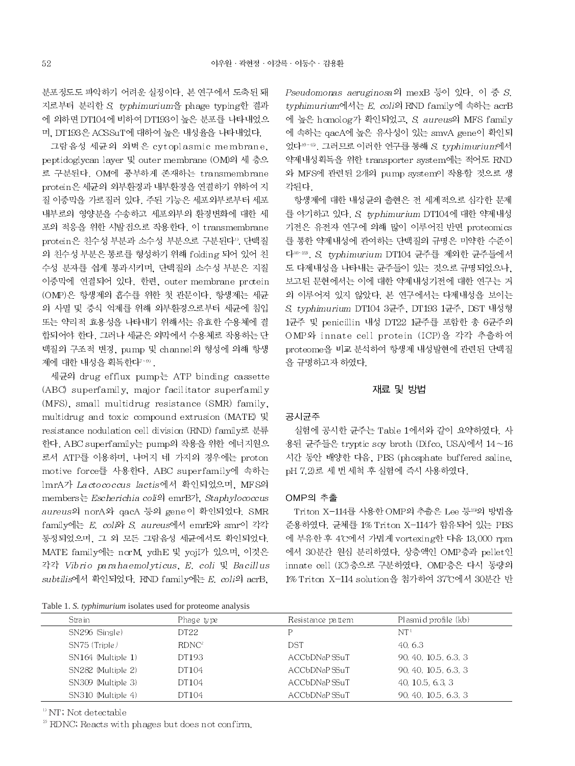분포정도도 파악하기 어려운 실정이다. 본 연구에서 도축된 돼 지로부터 분리한 S. typhimurium을 phage typing한 결과 에 의하면 DT104에 비하여 DT193이 높은 분포를 나타내었으 며. DT193은 ACSSuT에 대하여 높은 내성율을 나타내었다.

그람음성 세균의 외벽은 cytoplasmic membrane. peptidoglycan layer 및 outer membrane (OM)의 세 층으 로 구분된다. OM에 풍부하게 존재하는 transmembrane protein은 세균의 외부환경과 내부환경을 연결하기 위하여 지 질 이중막을 가로질러 있다. 주된 기능은 세포외부로부터 세포 내부로의 영양분을 수송하고 세포외부의 환경변화에 대한 세 포의 적응을 위한 시발점으로 작용한다. 이 transmembrane protein은 친수성 부분과 소수성 부분으로 구분된다". 단백질 의 친수성 부분은 통로를 형성하기 위해 folding 되어 있어 친 수성 분자를 쉽게 통과시키며, 단백질의 소수성 부분은 지질 이중막에 연결되어 있다. 한편. outer membrane protein (OMP)은 항생제의 흡수를 위한 첫 관문이다. 항생제는 세균 의 사멸 및 증식 억제를 위해 외부환경으로부터 세균에 침입 또는 약리적 효용성을 나타내기 위해서는 유효한 수용체에 결 합되어야 한다. 그러나 세균은 외막에서 수용체로 작용하는 단 백질의 구조적 변경, pump 및 channel의 형성에 의해 항생 제에 대한 내성을 획득한다<sup>7-99</sup>.

세균의 drug efflux pump는 ATP binding cassette (ABC) superfamily, major facilitator superfamily (MFS), small multidrug resistance (SMR) family, multidrug and toxic compound extrusion (MATE) 및 resistance nodulation cell division (RND) family로 분류 한다. ABC superfamily는 pump의 작용을 위한 에너지원으 로서 ATP를 이용하며, 나머지 네 가지의 경우에는 proton motive force를 사용한다. ABC superfamily에 속하는 lmrA가 Lactococcus lactis에서 확인되었으며, MFS의 members는 *Escherichia coli*의 emrB가, *Staphylococcus* aureus의 norA와 qacA 등의 gene이 확인되었다. SMR family에는 E. coli와 S. aureus에서 emrE와 smr이 각각 동정되었으며, 그 외 모든 그람음성 세균에서도 확인되었다. MATE family에는 norM, ydhE 및 yojI가 있으며, 이것은 각각 Vibrio parahaemolyticus, E. coli 및 Bacillus subtilis에서 확인되었다. RND family에는 E. coli의 acrB.

Table 1. S. typhimurium isolates used for proteome analysis

Pseudomonas aeruginosa의 mexB 등이 있다. 이 중 S. typhimurium에서는 E. coli의 RND family에 속하는 acrB 에 높은 homolog가 확인되었고, S. aureus의 MFS family 에 속하는 qacA에 높은 유사성이 있는 smvA gene이 확인되 었다<sup>10~15</sup>. 그러므로 이러한 연구를 통해 S typhimurium에서 약제내성획득을 위한 transporter system에는 적어도 RND 와 MFS에 관련된 2개의 pump system이 작용할 것으로 생 각되다.

항생제에 대한 내성균의 출현은 전 세계적으로 심각한 문제 를 야기하고 있다. S. typhimurium DT104에 대한 약제내성 기전은 유전자 연구에 의해 많이 이루어진 반면 proteomics 를 통한 약제내성에 관여하는 단백질의 규명은 미약한 수준이 다<sup>16-22</sup>, S. typhimurium DT104 균주를 제외한 균주들에서 도 다제내성을 나타내는 균주들이 있는 것으로 규명되었으나. 보고된 문헌에서는 이에 대한 약제내성기전에 대한 연구는 거 의 이루어져 있지 않았다. 본 연구에서는 다제내성을 보이는 S. typhimurium DT104 3균주, DT193 1균주, DST 내성형 1균주 및 penicillin 내성 DT22 묘주를 포함한 총 6균주의 OMP와 innate cell protein (ICP)을 각각 추출하여 proteome을 비교 분석하여 항생제 내성발현에 관련된 단백질 을 규명하고자 하였다.

### 재료 및 방법

#### 공시균주

실험에 공시한 균주는 Table 1에서와 같이 요약하였다. 사 용된 균주들은 tryptic soy broth (Difco, USA)에서 14~16 시간 동안 배양한 다음, PBS (phosphate buffered saline, pH 7.2)로 세 번 세척 후 실험에 즉시 사용하였다.

#### OMP의 추출

Triton X-114를 사용한 OMP의 추출은 Lee 등23의 방법을 준용하였다. 균체를 1% Triton X-114가 함유되어 있는 PBS 에 부유한 후 4°C에서 가볍게 vortexing한 다음 13,000 rpm 에서 30분간 원심 분리하였다. 상층액인 OMP층과 pellet인 innate cell (IC) 층으로 구분하였다. OMP층은 다시 동량의 1% Triton X-114 solution을 첨가하여 37°C에서 30분간 반

|  | Stra in            | Phage type | Resistance pattern | Plasmid profile (kb)              |
|--|--------------------|------------|--------------------|-----------------------------------|
|  | SN296 (Single)     | DT22       | D                  | $\rm{NT}^{\scriptscriptstyle{1}}$ |
|  | SN75 (Triple)      | $RDNC^2$   | DST                | 40, 6.3                           |
|  | SN164 (Multiple 1) | DT193      | ACCbDNaPSSuT       | 90, 40, 10.5, 6.3, 3              |
|  | SN282 (Multiple 2) | DT104      | ACCbDNaPSSuT       | 90, 40, 10.5, 6.3, 3              |
|  | SN309 (Multiple 3) | DT104      | ACCbDNaPSSuT       | 40, 10.5, 6.3, 3                  |
|  | SN310 (Multiple 4) | DT104      | ACCbDNaPSSuT       | 90, 40, 10.5, 6.3, 3              |

 $\mathrm{^{10}}$  NT; Not detectable

<sup>2)</sup> RDNC, Reacts with phages but does not confirm.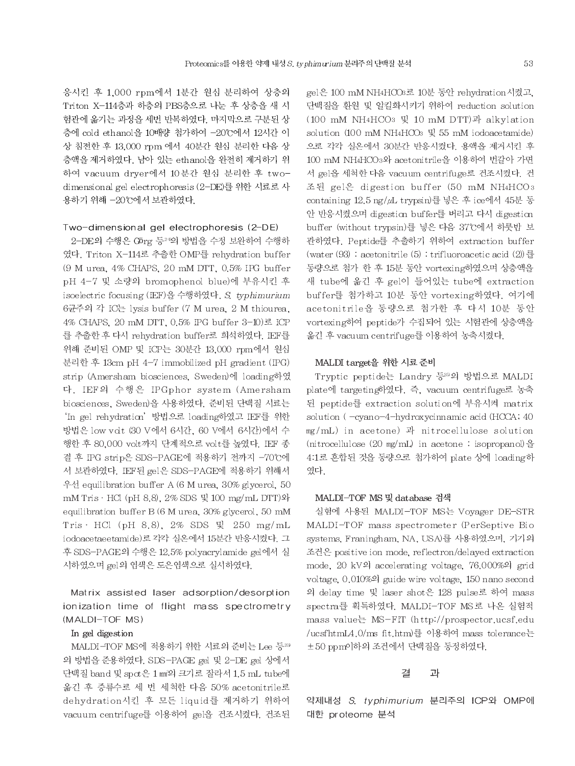응시킨 후 1,000 rpm에서 1분간 원심 분리하여 상층의 Triton X-114층과 하층의 PBS층으로 나눈 후 상층을 새 시 험관에 옮기는 과정을 세번 반복하였다. 마지막으로 구분된 상 층에 cold ethanol을 10배량 첨가하여 -20℃에서 12시간 이 상 침전한 후 13,000 rpm 에서 40분간 원심 분리한 다음 상 층액을 제거하였다. 남아 있는 ethanol을 완전히 제거하기 위 하여 vacuum dryer에서 10분간 원심 분리한 후 twodimensional gel electrophoresis (2-DE)를 위한 시료로 사 용하기 위해 -20℃에서 보관하였다.

### Two-dimensional gel electrophoresis (2-DE)

2-DE의 수행은 Görg 등20의 방법을 수정 보완하여 수행하 였다. Triton X-114로 추출한 OMP를 rehydration buffer (9 M urea, 4% CHAPS, 20 mM DTT, 0.5% IPG buffer pH 4-7 및 소량의 bromophenol blue)에 부유시킨 후 isoelectric focusing (IEF)을 수행하였다. S. typhimurium 6균주의 각 IC는 lysis buffer (7 M urea, 2 M thiourea, 4% CHAPS, 20 mM DTT, 0.5% IPG buffer 3-10) 로 ICP 를 추출한 후 다시 rehydration buffer로 희석하였다. IEF를 위해 준비된 OMP 및 ICP는 30분간 13,000 rpm에서 원심 분리한 후 13cm pH 4-7 immobilized pH gradient (IPG) strip (Amersham biosciences, Sweden)에 loading하였 다. IEF의 수행은 IPGphor system (Amersham biosciences, Sweden)을 사용하였다. 준비된 단백질 시료는 'In gel rehydration' 방법으로 loading하였고 IEF를 위한 방법은 low volt (30 V에서 6시간, 60 V에서 6시간)에서 수 행한 후 80,000 volt까지 단계적으로 volt를 높였다. IEF 종 결 후 IPG strip은 SDS-PAGE에 적용하기 전까지 -70°C에 서 보관하였다. IEF된 gel은 SDS-PAGE에 적용하기 위해서 우선 equilibration buffer A (6 M urea, 30% glycerol, 50 mM Tris · HCl (pH 8.8), 2% SDS 및 100 mg/mL DTT)와 equilibration buffer B (6 M urea, 30% glycerol, 50 mM Tris · HCl (pH 8.8), 2% SDS 및 250 mg/mL iodoacetaeetamide)로 각각 실온에서 15분간 반응시켰다. 그 후 SDS-PAGE의 수행은 12.5% polyacrylamide gel에서 실 시하였으며 gel의 염색은 도은염색으로 실시하였다.

# Matrix assisted laser adsorption/desorption ionization time of flight mass spectrometry (MALDI-TOF MS)

#### In gel digestion

MALDI-TOF MS에 적용하기 위한 시료의 준비는 Lee 등239 의 방법을 준용하였다. SDS-PAGE gel 및 2-DE gel 상에서 단백질 band 및 spct은 1 mi의 크기로 잘라서 1.5 mL tube에 옮긴 후 증류수로 세 번 세척한 다음 50% acetonitrile로 dehydration시킨 후 모든 liquid를 제거하기 위하여 vacuum centrifuge를 이용하여 gel을 건조시켰다. 건조된 gel은 100 mM NH4HCO3로 10분 동안 rehydration시켰고, 단백질을 환원 및 알킬화시키기 위하여 reduction solution (100 mM NH4HCO3 및 10 mM DTT)과 alkylation solution (100 mM NH<sub>4</sub>HCO<sub>3</sub> 및 55 mM iodoacetamide) 으로 각각 실온에서 30분간 반응시켰다. 용액을 제거시킨 후 100 mM NH4HCO3와 acetonitrile을 이용하여 번갈아 가면 서 gel을 세척한 다음 vacuum centrifuge로 건조시켰다. 건 조된 gel은 digestion buffer (50 mM NH4HCO3 containing 12.5 ng/µL trypsin)를 넣은 후 ice에서 45분 동 안 반응시켰으며 digestion buffer를 버리고 다시 digestion buffer (without trypsin)를 넣은 다음 37°C에서 하룻밤 보 관하였다. Peptide를 추출하기 위하여 extraction buffer (water (93) : acetonitrile (5) : trifluoroacetic acid (2) 를 동량으로 첨가 한 후 15분 동안 vortexing하였으며 상층액을 새 tube에 옮긴 후 gel이 들어있는 tube에 extraction buffer를 첨가하고 10분 동안 vortexing하였다. 여기에 acetonitrile을 동량으로 첨가한 후 다시 10분 동안 vortexing하여 peptide가 수집되어 있는 시험관에 상층액을 옮긴 후 vacuum centrifuge를 이용하여 농축시켰다.

### MALDI target을 위한 시료 준비

Tryptic peptide는 Landry 등25의 방법으로 MALDI plate에 targeting하였다. 즉, vacuum centrifuge로 농축 된 peptide를 extraction solution에 부유시켜 matrix solution (-cyano-4-hydroxycinnamic acid (HCCA, 40 mg/mL) in acetone) 과 nitrocellulose solution  $(introcellulose (20 mg/ml) in acetone : isopropano) \frac{9}{5}$ 4.1로 혼합된 것을 동량으로 첨가하여 plate 상에 loading하 였다.

### MALDI-TOF MS 및 database 검색

실험에 사용된 MALDI-TOF MS는 Voyager DE-STR MALDI-TOF mass spectrometer (PerSeptive Bio systems, Franingham, NA, USA)를 사용하였으며, 기기의 조건은 positive ion mode, reflectron/delayed extraction mode, 20 kV의 accelerating voltage, 76,000%의 grid voltage, 0.010%<sup>2</sup> guide wire voltage, 150 nano second 의 delay time 및 laser shot은 128 pulse로 하여 mass spectra를 획득하였다. MALDI-TOF MS로 나온 실험적 mass value는 MS-FIT (http://prospector.ucsf.edu /ucsfhtmLA.0/ms fit.htm)를 이용하여 mass tolerance는 ±50 ppm이하의 조건에서 단백질을 동정하였다.

#### 결 과

약제내성 S. typhimurium 분리주의 ICP와 OMP에 대한 proteome 분석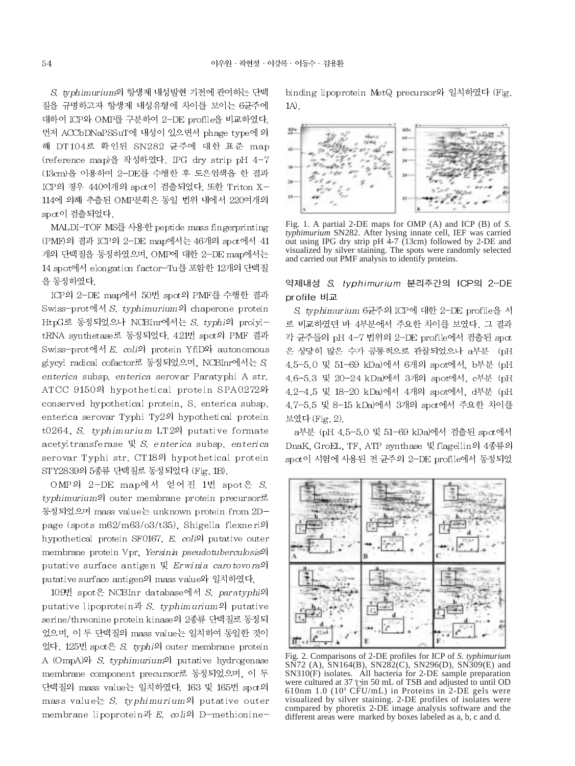S. typhimurium의 항생제 내성발현 기전에 관여하는 단백 질을 규명하고자 항생제 내성유형에 차이를 보이는 6균주에 대하여 ICP와 OMP를 구분하여 2-DE profile을 비교하였다. 먼저 ACCbDNaPSSuT에 내성이 있으면서 phage type에 의 해 DT104로 확인된 SN282 균주에 대한 표준 map (reference map)을 작성하였다. IPG dry strip pH 4-7 (13cm)을 이용하여 2-DE를 수행한 후 도은염색을 한 결과 ICP의 경우 440여개의 spot이 검출되었다. 또한 Triton X-114에 의해 추출된 OMP분획은 동일 법위 내에서 220여개의 spot이 검출되었다.

MALDI-TOF MS를 사용한 peptide mass fingerprinting (PMF)의 결과 ICP의 2-DE map에서는 46개의 spct에서 41 개의 단백질을 동정하였으며, OMP에 대한 2-DE map에서는 14 spot에서 elongation factor-Tu를 포함한 12개의 단백질 을 동정하였다.

ICP의 2-DE map에서 50번 spot의 PMF를 수행한 결과 Swiss-prot에서 S. typhimurium의 chaperone protein HtpG로 동정되었으나 NCBInr에서는 S. typhi의 prolyltRNA synthetase로 동정되었다. 421번 spot의 PMF 결과 Swiss-prot에서 E. coli의 protein YfiD와 autonomous glycyl radical cofactor로 동정되었으며, NCBInr에서는 S enterica subsp. enterica serovar Paratyphi A str. ATCC 9150의 hypothetical protein SPA0272와 conserved hypothetical protein, S. enterica subsp. enterica serovar Typhi Ty2의 hypothetical protein t0264, S. typhimurium LT2의 putative formate acetyltransferase  $\mathbb{R}$  S. enterica subsp. enterica serovar Typhi str. CT18의 hypothetical protein STY2839의 5종류 단백질로 동정되었다 (Fig. 1B).

OMP의 2-DE map에서 얻어진 1번 spot은 S. typhimurium의 outer membrane protein precursor로 동정되었으며 mass value는 unknown protein from 2Dpage (spots m62/m63/o3/t35). Shigella flexneri의 hypothetical protein SF0167, E. coli<sup>o</sup>l putative outer membrane protein Vpr, Yersinia pseudotuberculosis<sup>9</sup> putative surface antigen 및 Erwinia carotovora의 putative surface antigen의 mass value와 일치하였다.

109번 spot은 NCBInr database에서 S. paratyphi의 putative lipoprotein  $\mathbb F$  S. typhimurium<sup>2</sup> putative serine/threonine protein kinase의 2종류 단백질로 동정되 었으며, 이 두 단백질의 mass value는 일치하여 동일한 것이 었다. 125번 spot은 S. typhi의 outer membrane protein A (OmpA)<sup>2</sup> S. typhimurium<sup>2</sup> putative hydrogenase membrane component precursor로 동정되었으며, 이 두 단백질의 mass value는 일치하였다. 163 및 165번 spct의 mass value는 S. typhimurium의 putative outer membrane lipoprotein과 E.  $\omega$ li의 D-methioninebinding lipoprotein MetQ precursor와 일치하였다 (Fig.  $1A$ ).



Fig. 1. A partial 2-DE maps for OMP (A) and ICP (B) of S. typhimurium SN282. After lysing innate cell, IEF was carried out using IPG dry strip pH 4-7 (13cm) followed by 2-DE and visualized by silver staining. The spots were randomly selected and carried out PMF analysis to identify proteins.

약제내성 S. typhimurium 분리주간의 ICP의 2-DE profile 비교

S. typhimurium 6균주의 ICP에 대한 2-DE profile을 서 로 비교하였던 바 4부분에서 주요한 차이를 보였다. 그 결과 각 균주들의 pH 4-7 법위의 2-DE profile에서 검출된 spot 은 상당히 많은 수가 공통적으로 관찰되었으나 a부분 (pH 4.5-5.0 및 51-69 kDa)에서 6개의 spot에서, b부분 (pH 4.6-5.3 및 20-24 kDa)에서 3개의 spot에서, c부분 (pH 4.2-4.5 및 18-20 kDa)에서 4개의 spot에서, d부분 (pH 4.7-5.5 및 8-15 kDa)에서 3개의 spot에서 주요한 차이를 보였다 (Fig. 2).

a부분 (pH 4.5-5.0 및 51-69 kDa)에서 검출된 spot에서 DnaK, GroEL, TF, ATP synthase 및 flagellin의 4종류의 spot이 시험에 사용된 전 균주의 2-DE profile에서 동정되었



Fig. 2. Comparisons of 2-DE profiles for ICP of S. typhimurium  $S\overline{N}$ 72 (A),  $\overline{S}N164(B)$ ,  $SN282(C)$ ,  $SN296(D)$ ,  $SN309(E)$  and  $SN310(F)$  isolates. All bacteria for 2-DE sample preparation were cultured at 37 °C in 50 mL of TSB and adjusted to until OD 610nm 1.0 (10° CFU/mL) in Proteins in 2-DE gels were visualized by silver staining. 2-DE profiles of isolates were compared by phoretix  $2$ -DE image analysis software and the different areas were marked by boxes labeled as a, b, c and d.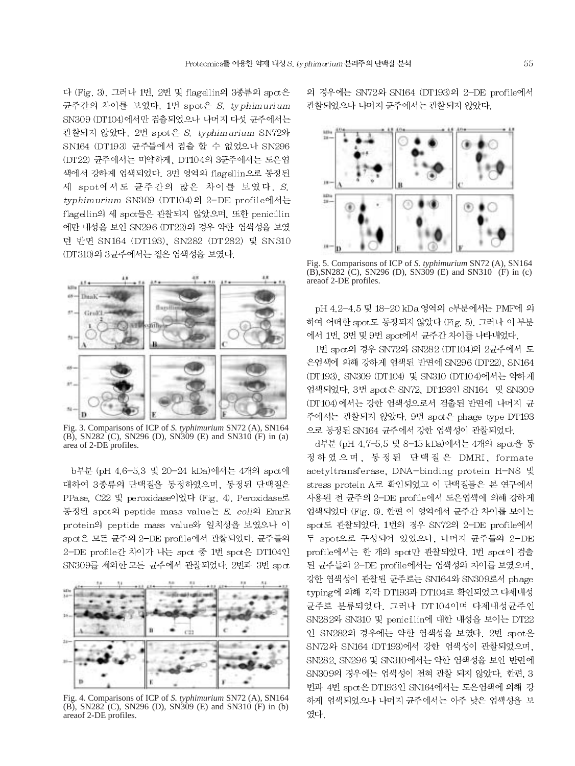다 (Fig. 3). 그러나 1번, 2번 및 flagellin의 3종류의 spot은 균주간의 차이를 보였다. 1번 spot은 S. typhimurium SN309 (DT104)에서만 검출되었으나 나머지 다섯 균주에서는 관찰되지 않았다. 2번 spot 은 S. typhimurium SN72와 SN164 (DT193) 균주들에서 검출 할 수 없었으나 SN296 (DT22) 균주에서는 미약하게, DT104의 3균주에서는 도은염 색에서 강하게 염색되었다. 3번 영역의 flagellin으로 동정된 세 spot에서도 균주간의 많은 차이를 보였다. S. typhimurium SN309 (DT104)의 2-DE profile에서는 flagellin의 세 spot들은 관찰되지 않았으며, 또한 penicillin 에만 내성을 보인 SN296 (DT22)의 경우 약한 염색성을 보였 던 반면 SN164 (DT193), SN282 (DT282) 및 SN310 (DT310)의 3균주에서는 짙은 염색성을 보였다.



Fig. 3. Comparisons of ICP of *S. typhimurium* SN72 (A), SN164 (B), SN282<sup> $\degree$ </sup>(C), SN296 (D), SN309 (E) and SN310 (F) in (a) area of 2-DE profiles.

b부분 (pH 4.6-5.3 및 20-24 kDa)에서는 4개의 spot에 대하여 3종류의 단백질을 동정하였으며, 동정된 단백질은 PPase, C22 및 peroxidase이었다 (Fig. 4), Peroxidase로 동정된 spot의 peptide mass value는 E. coli의 EmrR protein의 peptide mass value와 일치성을 보였으나 이 spct은 모든 균주의 2-DE profile에서 관찰되었다. 균주들의 2-DE profile간 차이가 나는 spot 중 1번 spot은 DT104인 SN309를 제외한 모든 균주에서 관찰되었다. 2번과 3번 spot



Fig. 4. Comparisons of ICP of *S. typhimurium* SN72 (A), SN164 (B), SN282 (C), SN296 (D), SN309 (E) and SN310 (F) in (b) areaof 2-DE profiles.

의 경우에는 SN72와 SN164 (DT193)의 2-DE profile에서 관찰되었으나 나머지 균주에서는 관찰되지 않았다.



Fig. 5. Comparisons of ICP of *S. typhimurium* SN72 (A), SN164 (B),SN282 (C), SN296 (D), SN309 (E) and SN310 (F) in (c) areaof 2-DE profiles.

pH 4.2-4.5 및 18-20 kDa 영역의 c부분에서는 PMF에 의 하여 어떠한 spot도 동정되지 않았다 (Fig. 5). 그러나 이 부분 에서 1번, 3번 및 9번 spot에서 균주간 차이를 나타내었다.

1번 spot의 경우 SN72와 SN282 (DT104)의 2균주에서 도 은염색에 의해 강하게 염색된 반면에 SN296 (DT22), SN164 (DT193), SN309 (DT104) 및 SN310 (DT104)에서는 약하게 염색되었다. 3번 spct은 SN72, DT193인 SN164 및 SN309 (DT104)에서는 강한 염색성으로서 검출된 반면에 나머지 균 주에서는 관찰되지 않았다. 9번 spot은 phage type DT193 으로 동정된 SN164 균주에서 강한 염색성이 관찰되었다.

d부분 (pH 4.7-5.5 및 8-15 kDa)에서는 4개의 spot을 동 정하였으며, 동정된 단백질은 DMRI, formate acetyltransferase, DNA-binding protein H-NS 및 stress protein A로 확인되었고 이 단백질들은 본 연구에서 사용된 전 균주의 2-DE profile에서 도은염색에 의해 강하게 염색되었다 (Fig. 6). 한편 이 영역에서 균주간 차이를 보이는 spot도 관찰되었다. 1번의 경우 SN72의 2-DE profile에서 두 spot으로 구성되어 있었으나, 나머지 균주들의 2-DE profile에서는 한 개의 spot만 관찰되었다. 1번 spot이 검출 된 균주들의 2-DE profile에서는 염색성의 차이를 보였으며, 강한 염색성이 관찰된 균주로는 SN164와 SN309로서 phage typing에 의해 각각 DT193과 DT104로 확인되었고 다제내성 균주로 분류되었다. 그러나 DT104이며 다제내성균주인 SN282와 SN310 및 penicillin에 대한 내성을 보이는 DT22 인 SN282의 경우에는 약한 염색성을 보였다. 2번 spot은 SN72와 SN164 (DT193)에서 강한 염색성이 관찰되었으며, SN282, SN296 및 SN310에서는 약한 염색성을 보인 반면에 SN309의 경우에는 염색성이 전혀 관찰 되지 않았다. 한편, 3 번과 4번 spot은 DT193인 SN164에서는 도은염색에 의해 강 하게 염색되었으나 나머지 균주에서는 아주 낮은 염색성을 보 였다.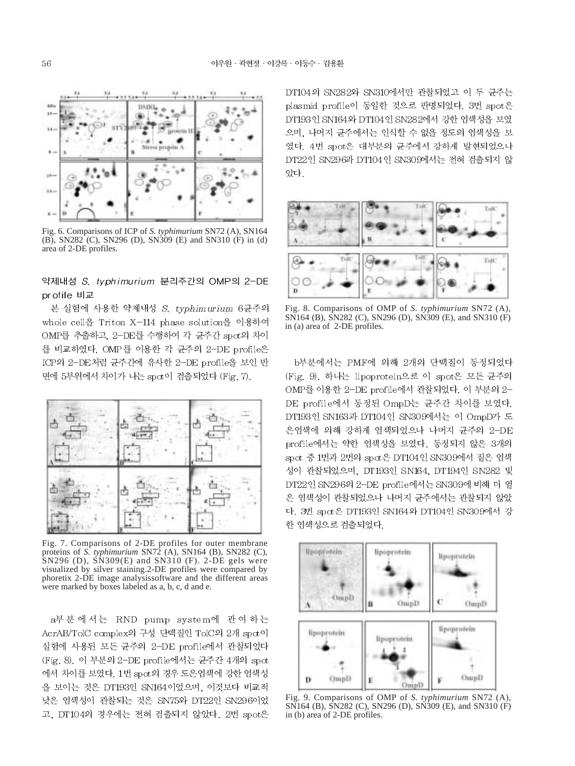

Fig. 6. Comparisons of ICP of *S. typhimurium* SN72 (A), SN164 (B), SN282 (C), SN296 (D), SN309 (E) and SN310 (F) in (d) area of 2-DE profiles.

# 약제내성 S. typhimurium 분리주간의 OMP의 2-DE pr ofile 비교

본 실험에 사용한 약제내성 S. typhimurium 6균주의 whole cell을 Triton X-114 phase solution을 이용하여 OMP를 추출하고, 2-DE를 수행하여 각 균주간 spot의 차이 를 비교하였다. OMP를 이용한 각 균주의 2-DE profile은 ICP의 2-DE처럼 균주간에 유사한 2-DE profile을 보인 반 면에 5부위에서 차이가 나는 spct이 검출되었다 (Fig. 7).



Fig. 7. Comparisons of 2-DE profiles for outer membrane proteins of *S. typhimurium* SN72 (A), SN164 (B), SN282 (C), SN296 (D), SN309(E) and SN310 (F). 2-DE gels were visualized by silver staining.2-DE profiles were compared by phoretix 2-DE image analysissoftware and the different areas were marked by boxes labeled as a, b, c, d and e.

a부분에서는 RND pump system에 관여하는 AcrAB/TolC complex의 구성 단백질인 TolC의 2개 spot이 실험에 사용된 모든 균주의 2-DE profile에서 관찰되었다 (Fig. 8). 이 부분의 2-DE profile에서는 균주간 4개의 spot 에서 차이를 보였다. 1번 spot의 경우 도은염색에 강한 염색성 을 보이는 것은 DT193인 SN164이었으며, 이것보다 비교적 낮은 염색성이 관찰되는 것은 SN75와 DT22인 SN296이었 고, DT104의 경우에는 전혀 검출되지 않았다. 2번 spot은 DT104의 SN282와 SN310에서만 관찰되었고 이 두 균주는 plasmid profile이 동일한 것으로 판명되었다. 3번 spot은 DT193 인 SN164와 DT104 인 SN282에서 강한 염색성을 보였 으며, 나머지 균주에서는 인식할 수 없을 정도의 염색성을 보 였다. 4번 spot은 대부분의 균주에서 강하게 발현되었으나 DT22인 SN296과 DT104인 SN309에서는 전혀 검출되지 않 았다.



Fig. 8. Comparisons of OMP of *S. typhimurium* SN72 (A), SN164 (B), SN282 (C), SN296 (D), SN309 (E), and SN310 (F) in (a) area of 2-DE profiles.

b부분에서는 PMF에 의해 2개의 단백질이 동정되었다 (Fig. 9). 하나는 lipoprotein으로 이 spot은 모든 균주의 OMP를 이용한 2-DE profile에서 관찰되었다. 이 부분의 2-DE profile에서 동정된 OmpD는 균주간 차이를 보였다. DT193인 SN163과 DT104인 SN309에서는 이 OmpD가 도 은염색에 의해 강하게 염색되었으나 나머지 균주의 2-DE profile에서는 약한 염색성을 보였다. 동정되지 않은 3개의 spot 중 1번과 2번의 spot은 DT104인 SN309에서 짙은 염색 성이 관찰되었으며, DT193인 SN164, DT194인 SN282 및 DT22인 SN296의 2-DE profile에서는 SN309에 비해 더 옅 은 염색성이 관찰되었으나 나머지 균주에서는 관찰되지 않았 다. 3번 spot은 DT193인 SN164와 DT104인 SN309에서 강 한 염색성으로 검출되었다.



Fig. 9. Comparisons of OMP of *S. typhimurium* SN72 (A), SN164 (B), SN282 (C), SN296 (D), SN309 (E), and SN310 (F) in (b) area of 2-DE profiles.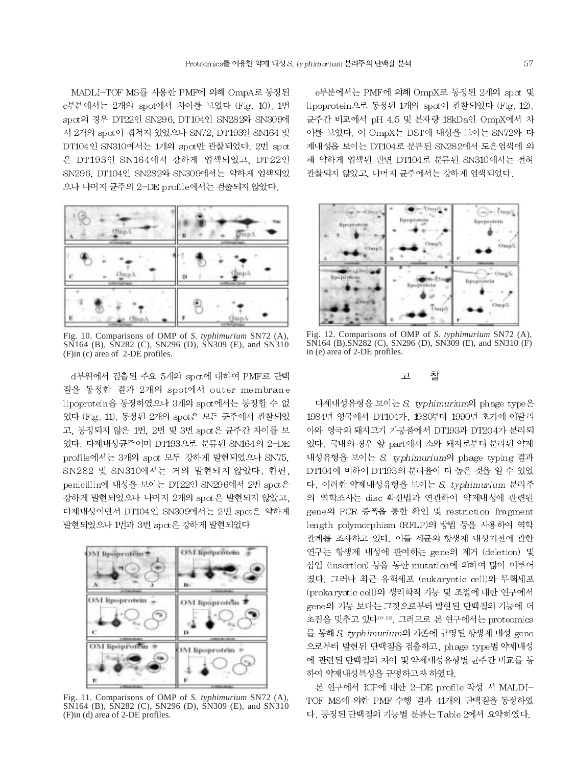MADLI-TOF MS를 사용한 PMF에 의해 OmpA로 동정된 c부분에서는 2개의 spot에서 차이를 보였다 (Fig. 10). 1번 spct의 경우 DT22인 SN296, DT104인 SN282와 SN309에 서 2개의 spct이 겹쳐져 있었으나 SN72, DT193인 SN164 및 DT104인 SN310에서는 1개의 spot만 관찰되었다. 2번 spot 은 DT193인 SN164에서 강하게 염색되었고, DT22인 SN296, DT104인 SN282와 SN309에서는 약하게 염색되었 으나 나머지 균주의 2-DE profile에서는 검출되지 않았다.



Fig. 10. Comparisons of OMP of *S. typhimurium* SN72 (A), SN164 (B), SN282 (C), SN296 (D), SN309 (E), and SN310 (F)in (c) area of 2-DE profiles.

d부위에서 검출된 주요 5개의 spot에 대하여 PMF로 단백 질을 동정한 결과 2개의 spot에서 outer membrane lipoprotein을 동정하였으나 3개의 spct에서는 동정할 수 없 었다 (Fig. 11). 동정된 2개의 spα은 모든 균주에서 관찰되었 고, 동정되지 않은 1번, 2번 및 3번 spct은 균주간 차이를 보 였다. 다제내성균주이며 DT193으로 분류된 SN164의 2-DE profile에서는 3개의 spot 모두 강하게 발현되었으나 SN75, SN282 및 SN310에서는 거의 발현되지 않았다. 한편, penicillin에 내성을 보이는 DT22인 SN296에서 2번 spot은 강하게 발현되었으나 나머지 2개의 spct은 발현되지 않았고, 다제내성이면서 DT104인 SN309에서는 2번 spot은 약하게 발현되었으나 1번과 3번 spot은 강하게 발현되었다



Fig. 11. Comparisons of OMP of *S. typhimurium* SN72 (A), SN164 (B), SN282 (C), SN296 (D), SN309 (E), and SN310 (F)in (d) area of 2-DE profiles.

e부분에서는 PMF에 의해 OmpX로 동정된 2개의 spot 및 lipoprotein으로 동정된 1개의 spot이 관찰되었다 (Fig. 12). 균주간 비교에서 pH 4.5 및 분자량 18kDa인 OmpX에서 차 이를 보였다. 이 OmpX는 DST에 내성을 보이는 SN72와 다 제내성을 보이는 DT104로 분류된 SN282에서 도은염색에 의 해 약하게 염색된 반면 DT104로 분류된 SN310에서는 전혀 관찰되지 않았고, 나머지 균주에서는 강하게 염색되었다.



Fig. 12. Comparisons of OMP of *S. typhimurium* SN72 (A), SN164 (B),SN282 (C), SN296 (D), SN309 (E), and SN310 (F) in (e) area of 2-DE profiles.

#### $\Box$ 찰

다제내성유형을 보이는 S. typhimurium의 phage type은 1984년 영국에서 DT104가, 1980부터 1990년 초기에 이탈리 아와 영국의 돼지고기 가공품에서 DT193과 DT204가 분리되 었다. 국내의 경우 앞 part에서 소와 돼지로부터 분리된 약제 내성유형을 보이는 S. typhimurium의 phage typing 결과 DT104에 비하여 DT193의 분리율이 더 높은 것을 알 수 있었 다. 이러한 약제내성유형을 보이는 S. typhimurium 분리주 의 역학조사는 disc 확산법과 연관하여 약제내성에 관련된 gene의 PCR 증폭을 통한 확인 및 restriction fragment length polymorphism (RFLP)의 방법 등을 사용하여 역학 관계를 조사하고 있다. 이들 세균의 항생제 내성기전에 관한 연구는 항생제 내성에 관여하는 gene의 제거 (deletion) 및 삽입 (insertion) 등을 통한 mutation에 의하여 많이 이루어 졌다. 그러나 최근 유핵세포 (eukaryotic cell)와 무핵세포 (prokaryotic cell)의 생리학적 기능 및 조절에 대한 연구에서 gene의 기능 보다는 그것으로부터 발현된 단백질의 기능에 더 초점을 맞추고 있다16-22, 그러므로 본 연구에서는 proteomics 를 통해 S. typhimurium의 기존에 규명된 항생제 내성 gene 으로부터 발현된 단백질을 검출하고, phage type별 약제내성 에 관련된 단백질의 차이 및 약제내성유형별 균주간 비교를 통 하여 약제내성특성을 규명하고자 하였다.

본 연구에서 ICP에 대한 2-DE profile 작성 시 MALDI-TOF MS에 의한 PMF 수행 결과 41개의 단백질을 동정하였 다. 동정된 단백질의 기능별 분류는 Table 2에서 요약하였다.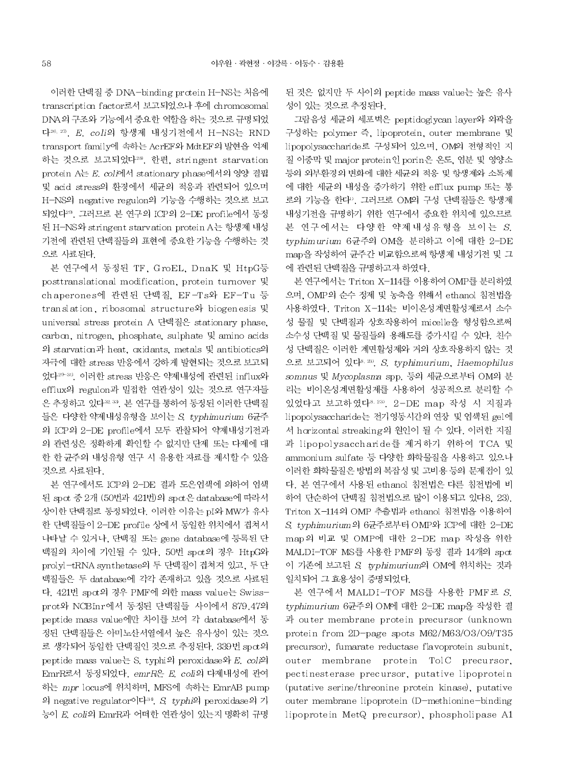이러한 단백질 중 DNA-binding protein H-NS는 처음에 transcription factor로서 보고되었으나 후에 chromosomal DNA의 구조와 기능에서 중요한 역할을 하는 것으로 규명되었 다<sup>26, 27</sup>, E. coli의 항생제 내성기전에서 H-NS는 RND transport family에 속하는 AcrEF와 MdtEF의 발현을 억제 하는 것으로 보고되었다<sup>28</sup>. 한편. stringent starvation protein A는 E. coli에서 stationary phase에서의 영양 결핍 및 acid stress의 환경에서 세균의 적응과 관련되어 있으며 H-NS의 negative regulon의 기능을 수행하는 것으로 보고 되었다<sup>29</sup>. 그러므로 본 연구의 ICP의 2-DE profile에서 동정 된 H-NS와 stringent starvation protein A는 항생제 내성 기전에 관련된 단백질들의 표현에 중요한 기능을 수행하는 것 으로 사료된다.

본 연구에서 동정된 TF, GroEL, DnaK 및 HtpG등 posttranslational modification, protein turnover 및 chaperones에 관련된 단백질, EF-Ts와 EF-Tu 등 translation, ribosomal structure와 biogenesis 및 universal stress protein A 단백질은 stationary phase. carbon, nitrogen, phosphate, sulphate 및 amino acids 의 starvation과 heat, oxidants, metals 및 antibiotics의 자극에 대한 stress 반응에서 강하게 발현되는 것으로 보고되 었다<sup>29-30</sup>, 이러한 stress 반응은 약제내성에 관련된 influx와 efflux의 regulon과 밀접한 연관성이 있는 것으로 연구자들 은 추정하고 있다38.39. 본 연구를 통하여 동정된 이러한 단백질 들은 다양한 약제내성유형을 보이는 S. typhimurium 6균주 의 ICP의 2-DE profile에서 모두 관찰되어 약제내성기전과 의 관련성은 정확하게 확인할 수 없지만 단제 또는 다제에 대 한 한 균주의 내성유형 연구 시 유용한 자료를 제시할 수 있을 것으로 사료된다.

본 연구에서도 ICP의 2-DE 결과 도은염색에 의하여 염색 된 spot 중 2개 (50번과 421번)의 spot은 database에 따라서 상이한 단백질로 동정되었다. 이러한 이유는 pI와 MW가 유사 한 단백질들이 2-DE profile 상에서 동일한 위치에서 겹쳐서 나타날 수 있거나, 단백질 또는 gene database에 등록된 단 백질의 차이에 기인될 수 있다. 50번 spct의 경우 HtpG와 prolyl-tRNA synthetase의 두 단백질이 겹쳐져 있고, 두 단 백질들은 두 database에 각각 존재하고 있을 것으로 사료된 다. 421번 spot의 경우 PMF에 의한 mass value는 Swissprot와 NCBInr에서 동정된 단백질들 사이에서 879.47의 peptide mass value에만 차이를 보여 각 database에서 동 정된 단백질들은 아미노산서열에서 높은 유사성이 있는 것으 로 생각되어 동일한 단백질인 것으로 추정된다. 339번 spct의 peptide mass value는 S. typhi의 peroxidase와 E. coli의 EmrR로서 동정되었다. emrR은 E. coli의 다제내성에 관여 하는 mpr locus에 위치하며, MFS에 속하는 EmrAB pump 의 negative regulator이다<sup>30</sup>. S. typhi의 peroxidase의 기 능이 E. coli의 EmrR과 어떠한 연관성이 있는지 명확히 규명

된 것은 없지만 두 사이의 peptide mass value는 높은 유사 성이 있는 것으로 추정된다.

그람음성 세균의 세포벽은 peptidoglycan layer와 외곽을 구성하는 polymer 즉, lipoprotein, outer membrane 및 lipopolysaccharide로 구성되어 있으며, OM의 전형적인 지 질 이중막 및 major protein인 porin은 온도, 염분 및 영양소 등의 외부환경의 변화에 대한 세균의 적응 및 항생제와 소독제 에 대한 세균의 내성을 증가하기 위한 efflux pump 또는 통 로의 기능을 한다". 그러므로 OM의 구성 단백질들은 항생제 내성기전을 규명하기 위한 연구에서 중요한 위치에 있으므로 본 연구에서는 다양한 약제내성유형을 보이는 S. typhimurium 6균주의 OM을 분리하고 이에 대한 2-DE map을 작성하여 균주간 비교함으로써 항생제 내성기전 및 그 에 관련된 단백질을 규명하고자 하였다.

본 연구에서는 Triton X-114를 이용하여 OMP를 분리하였 으며, OMP의 순수 정제 및 농축을 위해서 ethanol 침전법을 사용하였다. Triton X-114는 비이온성계면활성제로서 소수 성 물질 및 단백질과 상호작용하여 micelle을 형성함으로써 소수성 단백질 및 물질들의 용해도를 증가시킬 수 있다. 친수 성 단백질은 이러한 계면활성제와 거의 상호작용하지 않는 것 으로 보고되어 있다<sup>8, 23)</sup>, S. typhimurium, Haemophilus somnus 및 Mycoplasma spp. 등의 세균으로부터 OM의 분 리는 비이온성계면활성제를 사용하여 성공적으로 분리할 수 있었다고 보고하였다<sup>8, 23)</sup>. 2-DE map 작성 시 지질과 lipopolysaccharide는 전기영동시간의 연장 및 염색된 gel에 서 horizontal streaking의 원인이 될 수 있다. 이러한 지질 과 lipopolysaccharide를 제거하기 위하여 TCA 및 ammonium sulfate 등 다양한 화학물질을 사용하고 있으나 이러한 화학물질은 방법의 복잡성 및 고비용 등의 문제점이 있 다. 본 연구에서 사용된 ethanol 침전법은 다른 침전법에 비 하여 단순하여 단백질 침전법으로 많이 이용되고 있다8, 23). Triton X-114의 OMP 추출법과 ethanol 침전법을 이용하여 S. typhimurium의 6균주로부터 OMP와 ICP에 대한 2-DE map의 비교 및 OMP에 대한 2-DE map 작성을 위한 MALDI-TOF MS를 사용한 PMF의 동정 결과 14개의 spct 이 기존에 보고된 S. typhimurium의 OM에 위치하는 것과 일치되어 그 효용성이 증명되었다.

본 연구에서 MALDI-TOF MS를 사용한 PMF로 S. typhimurium 6균주의 OM에 대한 2-DE map을 작성한 결 과 outer membrane protein precursor (unknown protein from 2D-page spots M62/M63/O3/O9/T35 precursor), fumarate reductase flavoprotein subunit, outer membrane protein TolC precursor, pectinesterase precursor, putative lipoprotein (putative serine/threonine protein kinase), putative outer membrane lipoprotein (D-methionine-binding lipoprotein MetQ precursor), phospholipase A1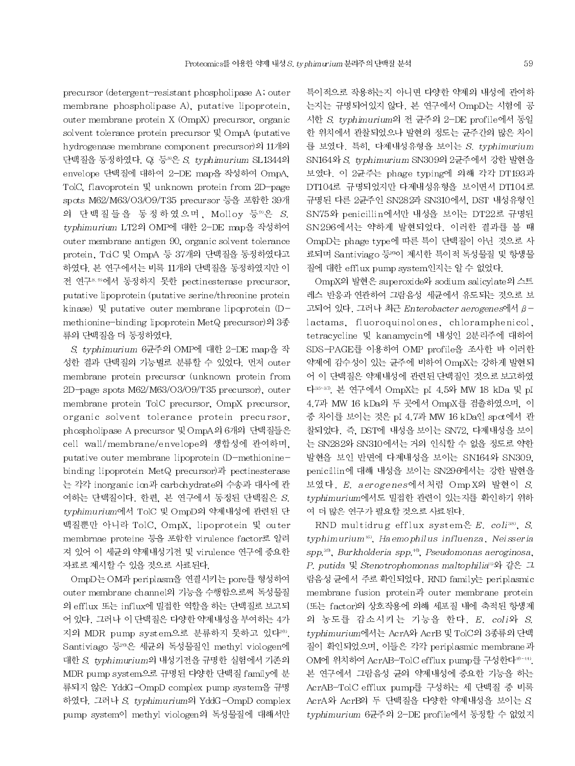precursor (detergent-resistant phospholipase A, outer membrane phospholipase A), putative lipoprotein, outer membrane protein X (OmpX) precursor, organic solvent tolerance protein precursor 및 OmpA (putative hydrogenase membrane component precursor)의 11개의 단백질을 동정하였다. Qi 등<sup>8)</sup>은 S. typhimurium SL1344의 envelope 단백질에 대하여 2-DE map을 작성하여 OmpA. TolC, flavoprotein 및 unknown protein from 2D-page spots M62/M63/O3/O9/T35 precursor 등을 포함한 39개 의 단백질들을 동정하였으며, Molloy 등 이은 S. typhimurium LT2의 OMP에 대한 2-DE map을 작성하여 outer membrane antigen 90, organic solvent tolerance protein, TolC 및 OmpA 등 37개의 단백질을 동정하였다고 하였다. 본 연구에서는 비록 11개의 단백질을 동정하였지만 이 전 연구8.9)에서 동정하지 못한 pectinesterase precursor, putative lipoprotein (putative serine/threonine protein kinase) 및 putative outer membrane lipoprotein (Dmethionine-binding lipoprotein MetQ precursor)의 3종 류의 단백질을 더 동정하였다.

S. typhimurium 6균주의 OMP에 대한 2-DE map을 작 성한 결과 단백질의 기능별로 분류할 수 있었다. 먼저 outer membrane protein precursor (unknown protein from 2D-page spots M62/M63/O3/O9/T35 precursor), outer membrane protein TolC precursor, OmpX precursor, organic solvent tolerance protein precursor, phospholipase A precursor 및 OmpA의 6개의 단백질들은 cell wall/membrane/envelope의 생합성에 관여하며. putative outer membrane lipoprotein (D-methioninebinding lipoprotein MetQ precursor)과 pectinesterase 는 각각 inorganic ion과 carbohydrate의 수송과 대사에 관 여하는 단백질이다. 한편, 본 연구에서 동정된 단백질은 S. typhimurium에서 TolC 및 OmpD의 약제내성에 관련된 단 백질뿐만 아니라 TolC, OmpX, lipoprotein 및 outer membrnae proteine 등을 포함한 virulence factor로 알려 져 있어 이 세균의 약제내성기전 및 virulence 연구에 중요한 자료로 제시할 수 있을 것으로 사료된다.

OmpD는 OM과 periplasm을 연결시키는 pore를 형성하여 outer membrane channel의 기능을 수행함으로써 독성물질 의 efflux 또는 influx에 밀접한 역할을 하는 단백질로 보고되 어 있다. 그러나 이 단백질은 다양한 약제내성을 부여하는 4가 지의 MDR pump system으로 분류하지 못하고 있다<sup>209</sup>. Santiviago 등20은 세균의 독성물질인 methyl viologen에 대한 S. typhimurium의 내성기전을 규명한 실험에서 기존의 MDR pump system으로 규명된 다양한 단백질 family에 분 류되지 않은 YddG-OmpD complex pump system을 규명 하였다. 그러나 S. typhimurium의 YddG-OmpD complex pump system<sup>o</sup> methyl viologen의 독성물질에 대해서만 특이적으로 작용하는지 아니면 다양한 약제의 내성에 관여하 는지는 규명되어있지 않다. 본 연구에서 OmpD는 시험에 공 시한 S typhimurium의 전 균주의 2-DE profile에서 동일 한 위치에서 관찰되었으나 발현의 정도는 균주간의 많은 차이 를 보였다. 특히, 다제내성유형을 보이는 S. typhimurium SN164와 S. typhimurium SN309의 2균주에서 강한 발현을 보였다. 이 2균주는 phage typing에 의해 각각 DT193과 DT104로 규명되었지만 다제내성유형을 보이면서 DT104로 규명된 다른 2균주인 SN282과 SN310에서, DST 내성유형인 SN75와 penicillin에서만 내성을 보이는 DT22로 규명된 SN296에서는 약하게 발현되었다. 이러한 결과를 볼 때 OmpD는 phage type에 따른 특이 단백질이 아닌 것으로 사 료되며 Santiviago 등200] 제시한 특이적 독성물질 및 항생물 질에 대한 efflux pump system인지는 알 수 없었다.

OmpX의 발현은 superoxide와 sodium salicylate의 스트 레스 반응과 연관하여 그람음성 세균에서 유도되는 것으로 보 고되어 있다. 그러나 최근 Enterobacter aerogenes에서 βlactams. fluoroquinolones, chloramphenicol. tetracycline 및 kanamycin에 내성인 2분리주에 대하여 SDS-PAGE를 이용하여 OMP profile을 조사한 바 이러한 약제에 감수성이 있는 균주에 비하여 OmpX는 강하게 발현되 어 이 단백질은 약제내성에 관련된 단백질인 것으로 보고하였 다<sup>35-37</sup>. 본 연구에서 OmpX는 pI 4.5와 MW 18 kDa 및 pI 4.7과 MW 16 kDa의 두 곳에서 OmpX를 검출하였으며, 이 중 차이를 보이는 것은 pI 4.7과 MW 16 kDa인 spot에서 관 찰되었다. 즉, DST에 내성을 보이는 SN72, 다제내성을 보이 는 SN282와 SN310에서는 거의 인식할 수 없을 정도로 약한 발현을 보인 반면에 다제내성을 보이는 SN164와 SN309. penicillin에 대해 내성을 보이는 SN296에서는 강한 발현을 보였다. E. aerogenes에서처럼 Omp X의 발현이 S. typhimurium에서도 밀접한 관련이 있는지를 확인하기 위하 여 더 많은 연구가 필요할 것으로 사료된다.

RND multidrug efflux system<sup>e</sup> E. coli<sup>38</sup>, S. typhimurium<sup>16)</sup>, Haemophilus influenza, Neisseria spp.<sup>39</sup>, Burkholderia spp.<sup>40</sup>, Pseudomonas aeroginosa, P. putida 및 Stenotrophomonas maltophilia<sup>v</sup>와 같은 그 람음성 균에서 주로 확인되었다. RND family는 periplasmic membrane fusion protein<sup>2</sup> outer membrane protein (또는 factor)의 상호작용에 의해 세포질 내에 축적된 항생제 의 농도를 감소시키는 기능을 한다. E. coli와 S. typhimurium에서는 AcrA와 AcrB 및 TolC의 3종류의 단백 질이 확인되었으며, 이들은 각각 periplasmic membrane과 OM에 위치하여 AcrAB-TolC efflux pump를 구성한다 10~14). 본 연구에서 그람음성 균의 약제내성에 중요한 기능을 하는 AcrAB-TolC efflux pump를 구성하는 세 단백질 중 비록 AcrA와 AcrB의 두 단백질을 다양한 약제내성을 보이는 S. typhimurium 6균주의 2-DE profile에서 동정할 수 없었지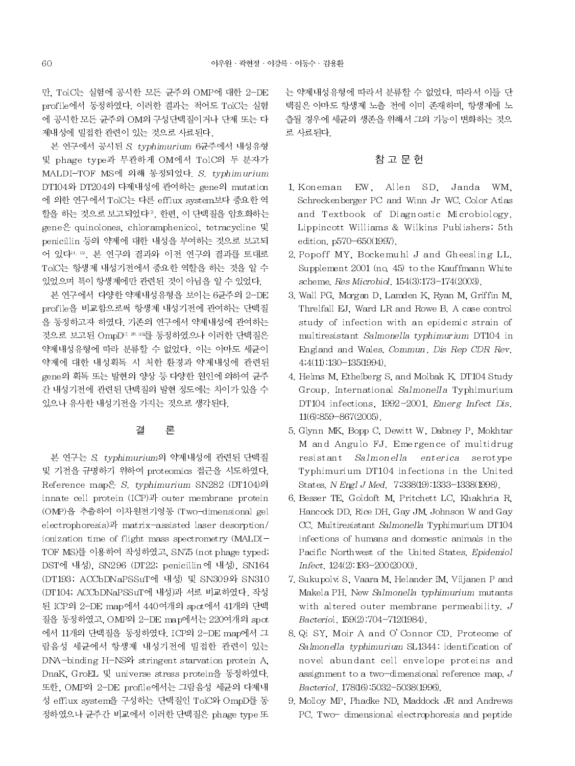만. TolC는 실험에 공시한 모든 균주의 OMP에 대한 2-DE profile에서 동정하였다. 이러한 결과는 적어도 TolC는 실험 에 공시한 모든 균주의 OM의 구성단백질이거나 단제 또는 다 제내성에 밀접한 관련이 있는 것으로 사료된다.

본 연구에서 공시된 S. typhimurium 6균주에서 내성유형 및 phage type과 무관하게 OM에서 TolC의 두 분자가 MALDI-TOF MS에 의해 동정되었다. S. typhimurium DT104와 DT204의 다제내성에 관여하는 gene의 mutation 에 의한 연구에서 TolC는 다른 efflux system보다 중요한 역 할을 하는 것으로 보고되었다". 한편. 이 단백질을 암호화하는 gene은 quinolones, chloramphenicol, tetracycline 및 penicillin 등의 약제에 대한 내성을 부여하는 것으로 보고되 어 있다<sup>4, 19</sup>, 본 연구의 결과와 이전 연구의 결과를 토대로 TolC는 항생제 내성기전에서 중요한 역할을 하는 것을 알 수 있었으며 특이 항생제에만 관련된 것이 아님을 알 수 있었다.

본 연구에서 다양한 약제내성유형을 보이는 6균주의 2-DE profile을 비교함으로써 항생제 내성기전에 관여하는 단백질 을 동정하고자 하였다. 기존의 연구에서 약제내성에 관여하는 것으로 보고된 OmpD'<sup>7, 20, 30</sup>를 동정하였으나 이러한 단백질은 약제내성유형에 따라 분류할 수 없었다. 이는 아마도 세균이 약제에 대한 내성획득 시 처한 환경과 약제내성에 관련된 gene의 획득 또는 발현의 양상 등 다양한 원인에 의하여 균주 간 내성기전에 관련된 단백질의 발현 정도에는 차이가 있을 수 있으나 유사한 내성기전을 가지는 것으로 생각된다.

#### 결 론

본 연구는 S. typhimurium의 약제내성에 관련된 단백질 및 기전을 규명하기 위하여 proteomics 접근을 시도하였다. Reference map은 S. typhimurium SN282 (DT104)의 innate cell protein (ICP)과 outer membrane protein (OMP)을 추출하여 이차원전기영동 (Two-dimensional gel electrophoresis)과 matrix-assisted laser desorption/ ionization time of flight mass spectrometry (MALDI-TOF MS)를 이용하여 작성하였고, SN75 (not phage typed; DST에 내성, SN296 (DT22, penicillin 에 내성), SN164 (DT193; ACCbDNaPSSuT에 내성) 및 SN309와 SN310 (DT104; ACCbDNaPSSuT에 내성)과 서로 비교하였다. 작성 된 ICP의 2-DE map에서 440여개의 spot에서 41개의 단백 질을 동정하였고, OMP의 2-DE map에서는 220여개의 spct 에서 11개의 단백질을 동정하였다. ICP의 2-DE map에서 그 람음성 세균에서 항생제 내성기전에 밀접한 관련이 있는 DNA-binding H-NS<sup>2</sup> stringent starvation protein A. DnaK, GroEL 및 universe stress protein을 동정하였다. 또한, OMP의 2-DE profile에서는 그람음성 세균의 다제내 성 efflux system을 구성하는 단백질인 TolC와 OmpD를 동 정하였으나 균주간 비교에서 이러한 단백질은 phage type 또

는 약제내성유형에 따라서 분류할 수 없었다. 따라서 이들 단 백질은 아마도 항생제 노출 전에 이미 존재하며, 항생제에 노 출될 경우에 세균의 생존을 위해서 그의 기능이 변화하는 것으 로 사료된다.

# 참 고 문 헌

- 1. Koneman EW, Allen SD, Janda WM. Schreckenberger PC and Winn Jr WC. Color Atlas and Textbook of Diagnostic Microbiology. Lippincott Williams & Wilkins Publishers; 5th edition. p570-650(1997).
- 2. Popoff MY, Bockemuhl J and Gheesling LL. Supplement 2001 (no. 45) to the Kauffmann White scheme, Res Microbiol, 154(3):173-174(2003).
- 3. Wall PG, Morgan D, Lamden K, Ryan M, Griffin M, Threlfall EJ, Ward LR and Rowe B. A case control study of infection with an epidemic strain of multiresistant Salmonella typhimurium DT104 in England and Wales. Commun. Dis Rep CDR Rev. 4,4(11):130-135(1994).
- 4. Helms M, Ethelberg S, and Molbak K, DT104 Study Group. International Salmonella Typhimurium DT104 infections, 1992-2001. Emerg Infect Dis.  $11(6)$ :859-867(2005).
- 5. Glynn MK, Bopp C, Dewitt W, Dabney P, Mokhtar M and Angulo FJ. Emergence of multidrug resistant Salmonella enterica serotype Typhimurium DT104 infections in the United States, N Engl J Med. 7,338(19):1333-1338(1998).
- 6. Besser TE, Goldoft M, Pritchett LC, Khakhria R, Hancock DD, Rice DH, Gay JM, Johnson W and Gay CC. Multiresistant Salmonella Typhimurium DT104 infections of humans and domestic animals in the Pacific Northwest of the United States, Epidemiol Infect, 124(2). 193-200(2000).
- 7. Sukupolvi S, Vaara M, Helander IM, Viljanen P and Makela PH. New Salmonella typhimurium mutants with altered outer membrane permeability,  $J$ Bacteriol, 159(2).704-712(1984).
- 8. Qi SY, Moir A and O'Connor CD, Proteome of Salmonella typhimurium SL1344: identification of novel abundant cell envelope proteins and assignment to a two-dimensional reference map.  $J$ Bacteriol. 178(16):5032-5038(1996).
- 9. Molloy MP, Phadke ND, Maddock JR and Andrews PC. Two-dimensional electrophoresis and peptide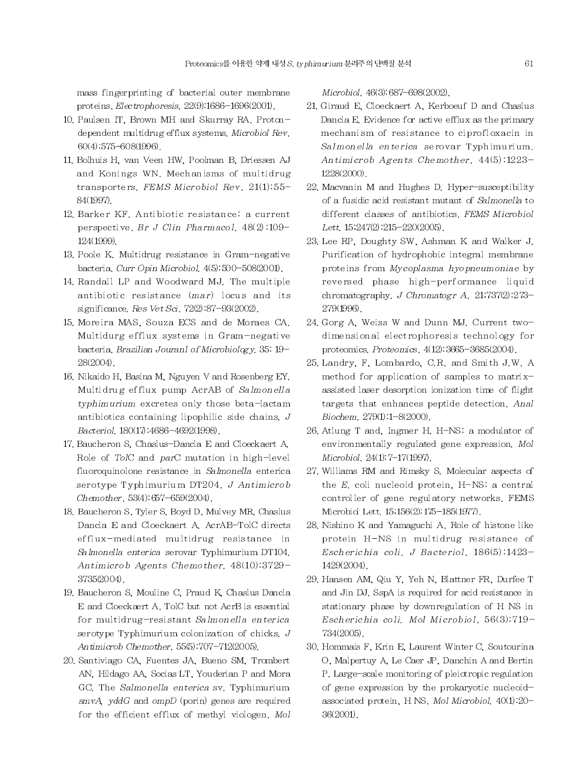mass fingerprinting of bacterial outer membrane proteins. Electrophoresis. 22(9):1686-1696(2001).

- 10. Paulsen IT, Brown MH and Skurray RA. Protondependent multidrug efflux systems. Microbiol Rev. 60(4):575-608(1996).
- 11. Bolhuis H, van Veen HW, Poolman B, Driessen AJ and Konings WN. Mechanisms of multidrug transporters. FEMS Microbiol Rev. 21(1):55-84(1997).
- 12. Barker KF, Antibiotic resistance: a current perspective. Br J Clin Pharmacol. 48(2):109-124(1999)
- 13. Poole K. Multidrug resistance in Gram-negative bacteria. Curr Opin Microbiol. 4(5):500-508(2001).
- 14. Randall LP and Woodward MJ. The multiple antibiotic resistance (mar) locus and its significance. Res Vet Sci. 72(2):87-93(2002).
- 15. Moreira MAS, Souza ECS and de Moraes CA. Multidurg efflux systems in Gram-negative bacteria. Brazilian Jouranl of Microbiology. 35: 19-28(2004).
- 16. Nikaido H, Basina M, Nguyen V and Rosenberg EY. Multidrug efflux pump AcrAB of Salmonella typhimurium excretes only those beta-lactam antibiotics containing lipophilic side chains,  $J$ Bacteriol. 180(17):4686-4692(1998).
- 17. Baucheron S. Chaslus-Dancla E and Cloeckaert A. Role of TolC and parC mutation in high-level fluoroquinolone resistance in Salmonella enterica serotype Typhimurium DT204. J Antimicrob Chemother, 53(4).657-659(2004).
- 18. Baucheron S, Tyler S, Boyd D, Mulvey MR, Chaslus Dancla E and Cloeckaert A. AcrAB-TolC directs efflux-mediated multidrug resistance in Salmonella enterica serovar Typhimurium DT104. Antimicrob Agents Chemother, 48(10):3729-3735(2004).
- 19. Baucheron S. Mouline C. Praud K. Chaslus Dancla E and Cloeckaert A. TolC but not AcrB is essential for multidrug-resistant Salmonella enterica serotype Typhimurium colonization of chicks.  $J$ Antimicrob Chemother, 55(5):707-712(2005).
- 20. Santiviago CA, Fuentes JA, Bueno SM, Trombert AN. Hildago AA. Socias LT. Youderian P and Mora GC. The Salmonella enterica sv. Typhimurium smvA, yddG and ompD (porin) genes are required for the efficient efflux of methyl viologen. Mol

Microbiol. 46(3).687-698(2002).

- 21. Giraud E. Cloeckaert A. Kerboeuf D and Chaslus Dancla E. Evidence for active efflux as the primary mechanism of resistance to ciprofloxacin in Salmonella enterica serovar Typhimurium. Antimicrob Agents Chemother, 44(5):1223-1228(2000).
- 22. Macvanin M and Hughes D. Hyper-susceptibility of a fusidic acid resistant mutant of Salmonella to different classes of antibiotics. FEMS Microbiol Lett. 15:247(2):215-220(2005).
- 23. Lee RP, Doughty SW, Ashman K and Walker J. Purification of hydrophobic integral membrane proteins from Mycoplasma hyopneumoniae by reversed phase high-performance liquid chromatography. J Chromatogr A.  $21,737(2).273-$ 279(1996).
- 24. Gorg A, Weiss W and Dunn MJ. Current twodimensional electrophoresis technology for proteomics. Proteomics. 4(12): 3665-3685(2004).
- 25. Landry, F. Lombardo, C.R. and Smith J.W. A method for application of samples to matrixassisted laser desorption ionization time of flight targets that enhances peptide detection. Anal Biochem, 279(1).1-8(2000).
- 26. Atlung T and, Ingmer H. H-NS: a modulator of environmentally regulated gene expression. Mol Microbiol. 24(1). 7-17(1997).
- 27. Williams RM and Rimsky S. Molecular aspects of the  $E$ , coli nucleoid protein, H-NS: a central controller of gene regulatory networks. FEMS Microbiol Lett. 15;156(2):175-185(1977).
- 28. Nishino K and Yamaguchi A. Role of histone like protein H-NS in multidrug resistance of Escherichia coli. J Bacteriol. 186(5):1423-1429(2004).
- 29. Hansen AM, Qiu Y, Yeh N, Blattner FR, Durfee T and Jin DJ. SspA is required for acid resistance in stationary phase by downregulation of H NS in Escherichia coli. Mol Microbiol. 56(3):719-734(2005).
- 30. Hommais F, Krin E, Laurent Winter C, Soutourina O, Malpertuy A, Le Caer JP, Danchin A and Bertin P. Large-scale monitoring of pleiotropic regulation of gene expression by the prokaryotic nucleoidassociated protein, H NS. Mol Microbiol. 40(1):20- $36(2001)$ .